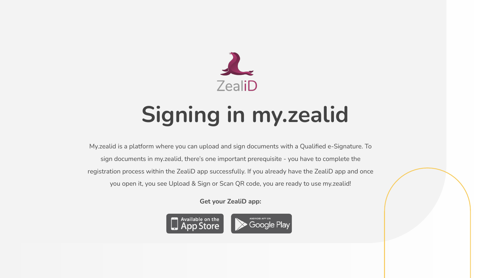

# **Signing in my.zealid**

My.zealid is a platform where you can upload and sign documents with a Qualified e-Signature. To sign documents in my.zealid, there's one important prerequisite - you have to complete the registration process within the ZealiD app successfully. If you already have the ZealiD app and once you open it, you see Upload & Sign or Scan QR code, you are ready to use my.zealid!

**Get your ZealiD app:**

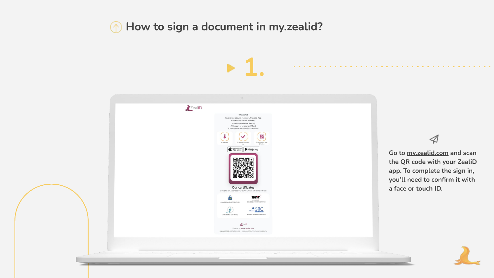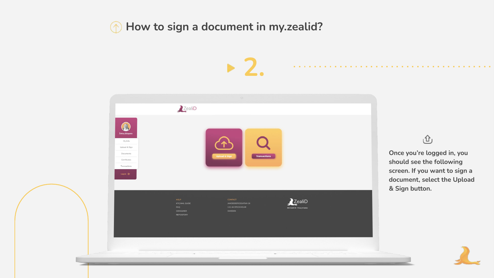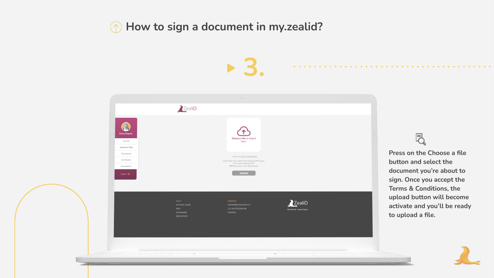**3.**



**Press on the Choose a file button and select the document you're about to sign. Once you accept the Terms & Conditions, the upload button will become activate and you'll be ready to upload a file.**

艮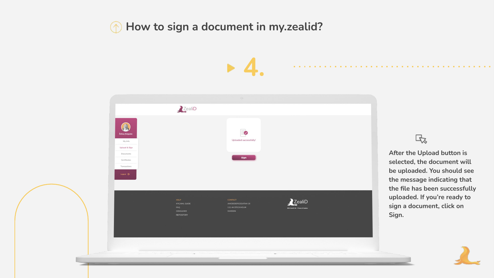**4.**



#### 氐

**After the Upload button is selected, the document will be uploaded. You should see the message indicating that the file has been successfully uploaded. If you're ready to sign a document, click on Sign.**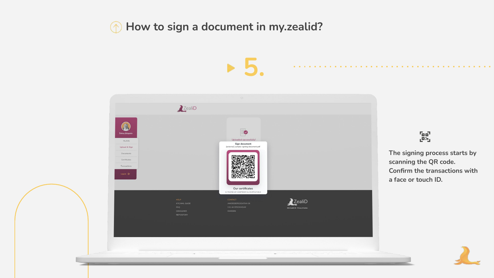

# $\begin{bmatrix} 0 \\ 0 \end{bmatrix}$

**The signing process starts by scanning the QR code. Confirm the transactions with a face or touch ID.**